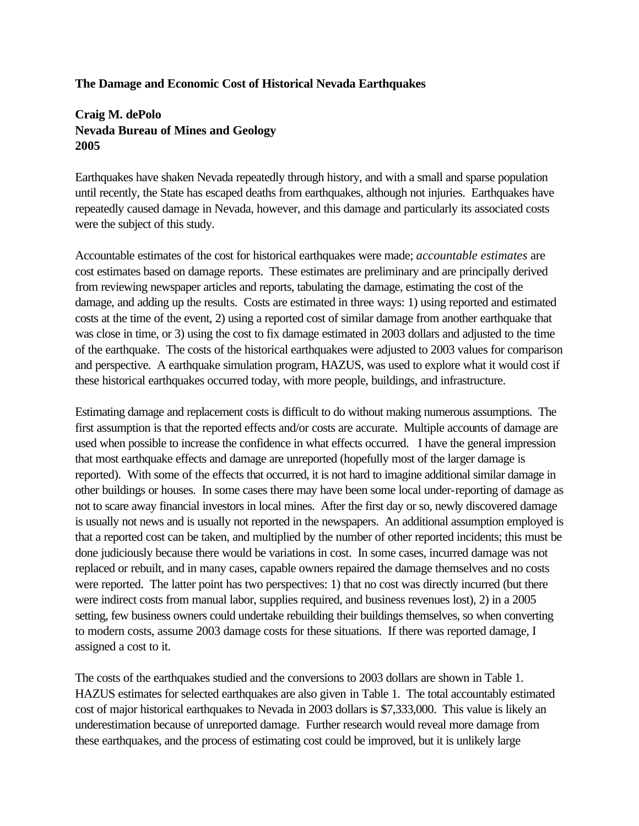## **The Damage and Economic Cost of Historical Nevada Earthquakes**

## **Craig M. dePolo Nevada Bureau of Mines and Geology 2005**

Earthquakes have shaken Nevada repeatedly through history, and with a small and sparse population until recently, the State has escaped deaths from earthquakes, although not injuries. Earthquakes have repeatedly caused damage in Nevada, however, and this damage and particularly its associated costs were the subject of this study.

Accountable estimates of the cost for historical earthquakes were made; *accountable estimates* are cost estimates based on damage reports. These estimates are preliminary and are principally derived from reviewing newspaper articles and reports, tabulating the damage, estimating the cost of the damage, and adding up the results. Costs are estimated in three ways: 1) using reported and estimated costs at the time of the event, 2) using a reported cost of similar damage from another earthquake that was close in time, or 3) using the cost to fix damage estimated in 2003 dollars and adjusted to the time of the earthquake. The costs of the historical earthquakes were adjusted to 2003 values for comparison and perspective. A earthquake simulation program, HAZUS, was used to explore what it would cost if these historical earthquakes occurred today, with more people, buildings, and infrastructure.

Estimating damage and replacement costs is difficult to do without making numerous assumptions. The first assumption is that the reported effects and/or costs are accurate. Multiple accounts of damage are used when possible to increase the confidence in what effects occurred. I have the general impression that most earthquake effects and damage are unreported (hopefully most of the larger damage is reported). With some of the effects that occurred, it is not hard to imagine additional similar damage in other buildings or houses. In some cases there may have been some local under-reporting of damage as not to scare away financial investors in local mines. After the first day or so, newly discovered damage is usually not news and is usually not reported in the newspapers. An additional assumption employed is that a reported cost can be taken, and multiplied by the number of other reported incidents; this must be done judiciously because there would be variations in cost. In some cases, incurred damage was not replaced or rebuilt, and in many cases, capable owners repaired the damage themselves and no costs were reported. The latter point has two perspectives: 1) that no cost was directly incurred (but there were indirect costs from manual labor, supplies required, and business revenues lost), 2) in a 2005 setting, few business owners could undertake rebuilding their buildings themselves, so when converting to modern costs, assume 2003 damage costs for these situations. If there was reported damage, I assigned a cost to it.

The costs of the earthquakes studied and the conversions to 2003 dollars are shown in Table 1. HAZUS estimates for selected earthquakes are also given in Table 1. The total accountably estimated cost of major historical earthquakes to Nevada in 2003 dollars is \$7,333,000. This value is likely an underestimation because of unreported damage. Further research would reveal more damage from these earthquakes, and the process of estimating cost could be improved, but it is unlikely large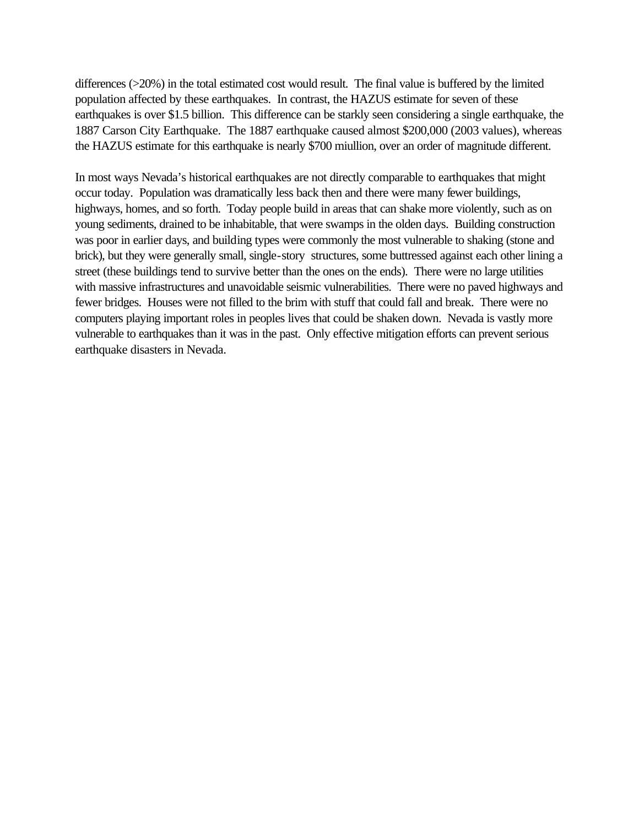differences (>20%) in the total estimated cost would result. The final value is buffered by the limited population affected by these earthquakes. In contrast, the HAZUS estimate for seven of these earthquakes is over \$1.5 billion. This difference can be starkly seen considering a single earthquake, the 1887 Carson City Earthquake. The 1887 earthquake caused almost \$200,000 (2003 values), whereas the HAZUS estimate for this earthquake is nearly \$700 miullion, over an order of magnitude different.

In most ways Nevada's historical earthquakes are not directly comparable to earthquakes that might occur today. Population was dramatically less back then and there were many fewer buildings, highways, homes, and so forth. Today people build in areas that can shake more violently, such as on young sediments, drained to be inhabitable, that were swamps in the olden days. Building construction was poor in earlier days, and building types were commonly the most vulnerable to shaking (stone and brick), but they were generally small, single-story structures, some buttressed against each other lining a street (these buildings tend to survive better than the ones on the ends). There were no large utilities with massive infrastructures and unavoidable seismic vulnerabilities. There were no paved highways and fewer bridges. Houses were not filled to the brim with stuff that could fall and break. There were no computers playing important roles in peoples lives that could be shaken down. Nevada is vastly more vulnerable to earthquakes than it was in the past. Only effective mitigation efforts can prevent serious earthquake disasters in Nevada.